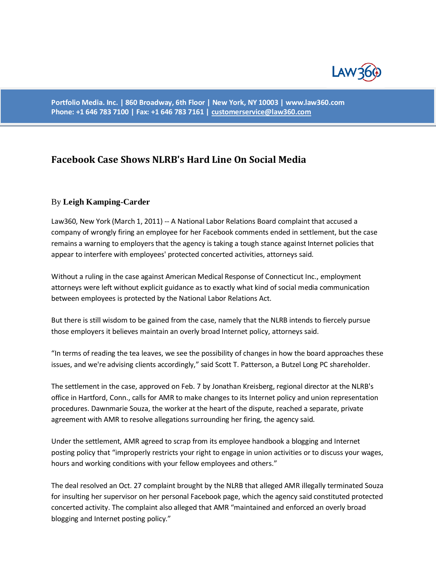

**Portfolio Media. Inc. | 860 Broadway, 6th Floor | New York, NY 10003 | www.law360.com Phone: +1 646 783 7100 | Fax: +1 646 783 7161 [| customerservice@law360.com](mailto:customerservice@law360.com)**

## **Facebook Case Shows NLRB's Hard Line On Social Media**

## By **Leigh Kamping-Carder**

Law360, New York (March 1, 2011) -- A National Labor Relations Board complaint that accused a company of wrongly firing an employee for her Facebook comments ended in settlement, but the case remains a warning to employers that the agency is taking a tough stance against Internet policies that appear to interfere with employees' protected concerted activities, attorneys said.

Without a ruling in the case against American Medical Response of Connecticut Inc., employment attorneys were left without explicit guidance as to exactly what kind of social media communication between employees is protected by the National Labor Relations Act.

But there is still wisdom to be gained from the case, namely that the NLRB intends to fiercely pursue those employers it believes maintain an overly broad Internet policy, attorneys said.

"In terms of reading the tea leaves, we see the possibility of changes in how the board approaches these issues, and we're advising clients accordingly," said Scott T. Patterson, a Butzel Long PC shareholder.

The settlement in the case, approved on Feb. 7 by Jonathan Kreisberg, regional director at the NLRB's office in Hartford, Conn., calls for AMR to make changes to its Internet policy and union representation procedures. Dawnmarie Souza, the worker at the heart of the dispute, reached a separate, private agreement with AMR to resolve allegations surrounding her firing, the agency said.

Under the settlement, AMR agreed to scrap from its employee handbook a blogging and Internet posting policy that "improperly restricts your right to engage in union activities or to discuss your wages, hours and working conditions with your fellow employees and others."

The deal resolved an Oct. 27 complaint brought by the NLRB that alleged AMR illegally terminated Souza for insulting her supervisor on her personal Facebook page, which the agency said constituted protected concerted activity. The complaint also alleged that AMR "maintained and enforced an overly broad blogging and Internet posting policy."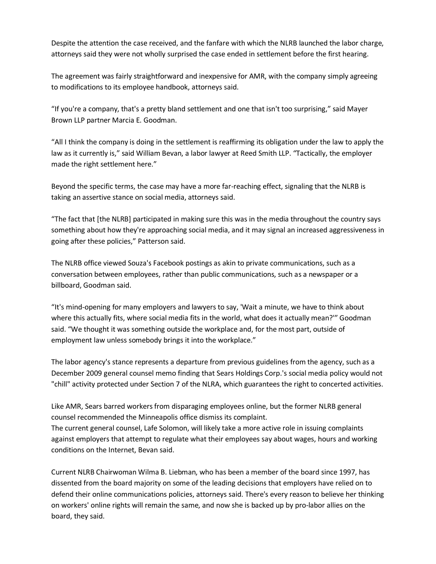Despite the attention the case received, and the fanfare with which the NLRB launched the labor charge, attorneys said they were not wholly surprised the case ended in settlement before the first hearing.

The agreement was fairly straightforward and inexpensive for AMR, with the company simply agreeing to modifications to its employee handbook, attorneys said.

"If you're a company, that's a pretty bland settlement and one that isn't too surprising," said Mayer Brown LLP partner Marcia E. Goodman.

"All I think the company is doing in the settlement is reaffirming its obligation under the law to apply the law as it currently is," said William Bevan, a labor lawyer at Reed Smith LLP. "Tactically, the employer made the right settlement here."

Beyond the specific terms, the case may have a more far-reaching effect, signaling that the NLRB is taking an assertive stance on social media, attorneys said.

"The fact that [the NLRB] participated in making sure this was in the media throughout the country says something about how they're approaching social media, and it may signal an increased aggressiveness in going after these policies," Patterson said.

The NLRB office viewed Souza's Facebook postings as akin to private communications, such as a conversation between employees, rather than public communications, such as a newspaper or a billboard, Goodman said.

"It's mind-opening for many employers and lawyers to say, 'Wait a minute, we have to think about where this actually fits, where social media fits in the world, what does it actually mean?'" Goodman said. "We thought it was something outside the workplace and, for the most part, outside of employment law unless somebody brings it into the workplace."

The labor agency's stance represents a departure from previous guidelines from the agency, such as a December 2009 general counsel memo finding that Sears Holdings Corp.'s social media policy would not "chill" activity protected under Section 7 of the NLRA, which guarantees the right to concerted activities.

Like AMR, Sears barred workers from disparaging employees online, but the former NLRB general counsel recommended the Minneapolis office dismiss its complaint. The current general counsel, Lafe Solomon, will likely take a more active role in issuing complaints against employers that attempt to regulate what their employees say about wages, hours and working conditions on the Internet, Bevan said.

Current NLRB Chairwoman Wilma B. Liebman, who has been a member of the board since 1997, has dissented from the board majority on some of the leading decisions that employers have relied on to defend their online communications policies, attorneys said. There's every reason to believe her thinking on workers' online rights will remain the same, and now she is backed up by pro-labor allies on the board, they said.